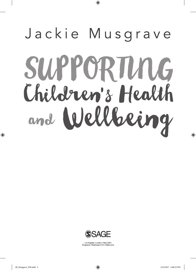# Jackie Musgrave SUPPORTUNG Children's Health and Wellbeing

 $\bigoplus$ 



Los Angeles | London | New Delhi<br>Singapore | Washington DC | Melbourne

⊕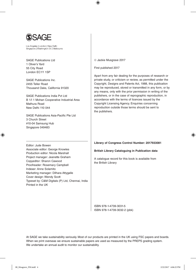

Los Angeles | London | New Delhi Singapore | Washington DC | Melbourne

SAGE Publications Ltd 1 Oliver's Yard 55 City Road London EC1Y 1SP

SAGE Publications Inc. 2455 Teller Road Thousand Oaks, California 91320

SAGE Publications India Pvt Ltd B 1/I 1 Mohan Cooperative Industrial Area Mathura Road New Delhi 110 044

SAGE Publications Asia-Pacific Pte Ltd 3 Church Street #10-04 Samsung Hub Singapore 049483

Associate editor: George Knowles Production editor: Nicola Marshall Project manager: Jeanette Graham Copyeditor: Sharon Cawood Proofreader: Rosemary Campbell

Marketing manager: Dilhara Attygalle

Typeset by: C&M Digitals (P) Ltd, Chennai, India

Editor: Jude Bowen

⊕

Indexer: Anne Solamito

Printed in the UK

Cover design: Wendy Scott

Jackie Musgrave 2017

First published 2017

 $\bigoplus$ 

Apart from any fair dealing for the purposes of research or private study, or criticism or review, as permitted under the Copyright, Designs and Patents Act, 1988, this publication may be reproduced, stored or transmitted in any form, or by any means, only with the prior permission in writing of the publishers, or in the case of reprographic reproduction, in accordance with the terms of licences issued by the Copyright Licensing Agency. Enquiries concerning reproduction outside those terms should be sent to the publishers.

#### **Library of Congress Control Number: 2017933081**

#### **British Library Cataloguing in Publication data**

A catalogue record for this book is available from the British Library

ISBN 978-1-4739-3032-2 (pbk)

At SAGE we take sustainability seriously. Most of our products are printed in the UK using FSC papers and boards. When we print overseas we ensure sustainable papers are used as measured by the PREPS grading system. We undertake an annual audit to monitor our sustainability.

⊕

ISBN 978-1-4739-3031-5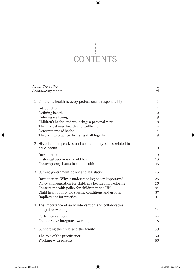# ENTS

 $\bigoplus$ 

|              | About the author                                             | X              |
|--------------|--------------------------------------------------------------|----------------|
|              | Acknowledgements                                             | хi             |
| $\mathbf{1}$ | Children's health is every professional's responsibility     | 1              |
|              | Introduction                                                 | 1              |
|              | Defining health                                              | $\mathbf 2$    |
|              | Defining wellbeing                                           | 3              |
|              | Children's health and wellbeing: a personal view             | 3              |
|              | The link between health and wellbeing                        | $\overline{4}$ |
|              | Determinants of health                                       | $\overline{4}$ |
|              | Theory into practice: bringing it all together               | 8              |
|              | 2 Historical perspectives and contemporary issues related to |                |
|              | child health                                                 | 9              |
|              | Introduction                                                 | 9              |
|              | Historical overview of child health                          | 10             |
|              | Contemporary issues in child health                          | 15             |
|              |                                                              |                |
|              | 3 Current government policy and legislation                  | 25             |
|              | Introduction: Why is understanding policy important?         | 25             |
|              | Policy and legislation for children's health and wellbeing   | 26             |
|              | Context of health policy for children in the UK              | 34             |
|              | Child health policy for specific conditions and groups       | 37             |
|              | Implications for practice                                    | 41             |
|              | 4 The importance of early intervention and collaborative     |                |
|              | integrated working                                           | 44             |
|              | Early intervention                                           | 44             |
|              | Collaborative integrated working                             | 48             |
|              |                                                              |                |
| 5            | Supporting the child and the family                          | 59             |
|              | The role of the practitioner                                 | 59             |
|              | Working with parents                                         | 65             |

 $\overline{\phantom{a}}$ 

 $\bigoplus$ 

 $\overline{\phantom{a}}$ 

 $\bigoplus$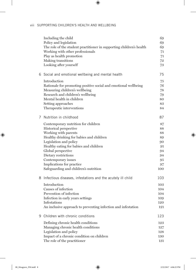# viii SUPPORTING CHILDREN'S HEALTH AND WELLBEING

 $\overline{\phantom{a}}$ 

 $\bigoplus$ 

 $\bigoplus$ 

| Including the child<br>Policy and legislation<br>The role of the student practitioner in supporting children's health<br>Working with other professionals<br>Play as health promotion<br>Making transitions<br>Looking after yourself | 69<br>69<br>69<br>71<br>71<br>72<br>73 |
|---------------------------------------------------------------------------------------------------------------------------------------------------------------------------------------------------------------------------------------|----------------------------------------|
| 6 Social and emotional wellbeing and mental health                                                                                                                                                                                    | 75                                     |
| Introduction                                                                                                                                                                                                                          | 75                                     |
| Rationale for promoting positive social and emotional wellbeing                                                                                                                                                                       | 76                                     |
| Measuring children's wellbeing                                                                                                                                                                                                        | 78                                     |
| Research and children's wellbeing                                                                                                                                                                                                     | 79                                     |
| Mental health in children                                                                                                                                                                                                             | 80                                     |
| Setting approaches                                                                                                                                                                                                                    | 83                                     |
| Therapeutic interventions                                                                                                                                                                                                             | 84                                     |
| 7 Nutrition in childhood                                                                                                                                                                                                              | 87                                     |
| Contemporary nutrition for children                                                                                                                                                                                                   | 87                                     |
| Historical perspective                                                                                                                                                                                                                | 88                                     |
| Working with parents                                                                                                                                                                                                                  | 88                                     |
| Healthy drinking for babies and children                                                                                                                                                                                              | 89                                     |
| Legislation and policy                                                                                                                                                                                                                | 90                                     |
| Healthy eating for babies and children                                                                                                                                                                                                | 91                                     |
| Global perspective                                                                                                                                                                                                                    | 94                                     |
| Dietary restrictions                                                                                                                                                                                                                  | 94                                     |
| Contemporary issues                                                                                                                                                                                                                   | 95                                     |
| Implications for practice                                                                                                                                                                                                             | 97                                     |
| Safeguarding and children's nutrition                                                                                                                                                                                                 | 100                                    |
| 8 Infectious diseases, infestations and the acutely ill child                                                                                                                                                                         | 103                                    |
| Introduction                                                                                                                                                                                                                          | 103                                    |
| Causes of infection                                                                                                                                                                                                                   | 104                                    |
| Prevention of infection                                                                                                                                                                                                               | 104                                    |
| Infection in early years settings                                                                                                                                                                                                     | 109                                    |
| Infestations                                                                                                                                                                                                                          | 120                                    |
| An inclusive approach to preventing infection and infestation                                                                                                                                                                         | 121                                    |
| 9 Children with chronic conditions                                                                                                                                                                                                    | 123                                    |
| Defining chronic health conditions                                                                                                                                                                                                    | 123                                    |
| Managing chronic health conditions                                                                                                                                                                                                    | 127                                    |
| Legislation and policy                                                                                                                                                                                                                | 128                                    |
| Impact of a chronic condition on children                                                                                                                                                                                             | 130                                    |
| The role of the practitioner                                                                                                                                                                                                          | 131                                    |

 $\overline{\phantom{a}}$ 

 $\bigoplus$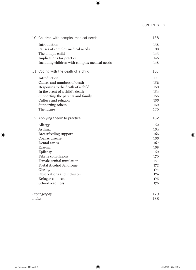# CONTENTS ix

 $\overline{\phantom{a}}$ 

 $\bigoplus$ 

|       | 10 Children with complex medical needs        | 138 |
|-------|-----------------------------------------------|-----|
|       | Introduction                                  | 138 |
|       | Causes of complex medical needs               | 138 |
|       | The unique child                              | 143 |
|       | Implications for practice                     | 145 |
|       | Including children with complex medical needs | 148 |
|       | 11 Coping with the death of a child           | 151 |
|       | Introduction                                  | 151 |
|       | Causes and numbers of death                   | 152 |
|       | Responses to the death of a child             | 153 |
|       | In the event of a child's death               | 154 |
|       | Supporting the parents and family             | 156 |
|       | Culture and religion                          | 156 |
|       | Supporting others                             | 159 |
|       | The future                                    | 160 |
|       | 12 Applying theory to practice                | 162 |
|       | Allergy                                       | 162 |
|       | Asthma                                        | 164 |
|       | <b>Breastfeeding</b> support                  | 165 |
|       | Coeliac disease                               | 166 |
|       | Dental caries                                 | 167 |
|       | Eczema                                        | 168 |
|       | Epilepsy                                      | 169 |
|       | Febrile convulsions                           | 170 |
|       | Female genital mutilation                     | 171 |
|       | Foetal Alcohol Syndrome                       | 172 |
|       | Obesity                                       | 174 |
|       | Observations and inclusion                    | 174 |
|       | Refugee children                              | 175 |
|       | School readiness                              | 176 |
|       | Bibliography                                  | 179 |
| Index |                                               | 188 |

 $\bigoplus$ 

 $\overline{\phantom{a}}$ 

 $\bigoplus$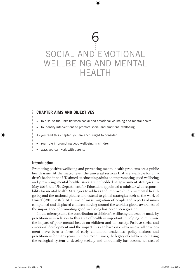# 6 SOCIAL AND EMOTIONAL WELLBEING AND MENTAL HEALTH

 $\textcircled{\scriptsize{*}}$ 

# **CHAPTER AIMS AND OBJECTIVES**

- To discuss the links between social and emotional wellbeing and mental health
- To identify interventions to promote social and emotional wellbeing

As you read this chapter, you are encouraged to consider:

- Your role in promoting good wellbeing in children
- Ways you can work with parents

#### **Introduction**

⊕

Promoting positive wellbeing and preventing mental health problems are a public health issue. At the macro level, the universal services that are available for children's health in the UK aimed at educating adults about promoting good wellbeing and preventing mental health issues are embedded in government strategies. In May 2016, the UK Department for Education appointed a minister with responsibility for mental health. Strategies to address and improve children's mental health go beyond the national picture and extend to global strategies such as the work of Unicef (2013, 2016). At a time of mass migration of people and reports of unaccompanied and displaced children moving around the world, a global awareness of the importance of promoting good wellbeing has never been greater.

In the microsystem, the contribution to children's wellbeing that can be made by practitioners in relation to this area of health is important in helping to minimise the impact of poor mental health on children and on society. Positive social and emotional development and the impact this can have on children's overall development have been a focus of early childhood academics, policy makers and practitioners for many years. In more recent times, the legacy of children not having the ecological system to develop socially and emotionally has become an area of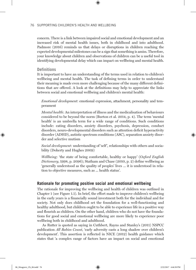concern. There is a link between impaired social and emotional development and an increased risk of mental health issues, both in childhood and into adulthood. Padmore (2016) reminds us that delays or disruptions in children reaching the expected developmental milestones can be a sign that something is amiss. Therefore, your knowledge about children and observations of children can be a useful tool in identifying developmental delay which can impact on wellbeing and mental health.

⊕

#### **Definitions**

It is important to have an understanding of the terms used in relation to children's wellbeing and mental health. The task of defining terms in order to understand their meaning is made even more challenging because of the many different definitions that are offered. A look at the definitions may help to appreciate the links between social and emotional wellbeing and children's mental health:

*Emotional development*: emotional expression, attachment, personality and temperament

*Mental health*: An interpretation of illness and the medicalisation of behaviours considered to be beyond the norm (Burton et al. 2014, p. 4). The term 'mental health' is an umbrella term for a wide range of conditions. Such conditions include: eating disorders, anxiety disorders, psychosis, depression, conduct disorders, neuro-developmental disorders such as attention deficit hyperactivity disorder (ADHD), autistic spectrum conditions (ASC), separation anxiety disorder and selective mutism

*Social development*: understanding of 'self', relationships with others and sociability (Doherty and Hughes 2009)

*Wellbeing*: 'the state of being comfortable, healthy or happy' (*Oxford English Dictionary*, 1998, p. 2096); Statham and Chase (2010, p. 2) define wellbeing as 'generally understood as the quality of peoples' lives ... it is understood in relation to objective measures, such as ... health status'.

# **Rationale for promoting positive social and emotional wellbeing**

The rationale for improving the wellbeing and health of children was outlined in Chapter 1 (see Figure 1.1). In brief, the effort made to improve children's wellbeing in the early years is a financially sound investment both for the individual and for society. Not only does childhood set the foundation for a well-functioning and healthy adulthood, but children ought to be able to experience life in a positive way and flourish as children. On the other hand, children who do not have the foundations for good social and emotional wellbeing are more likely to experience poor wellbeing both in childhood and adulthood.

As Rutter is quoted as saying in Cuthbert, Rayns and Stanley's (2011) NSPCC publication *All Babies Count*, 'early adversity casts a long shadow over children's development'. This assertion is reflected in NICE (2012) health guidance which states that 'a complex range of factors have an impact on social and emotional

⊕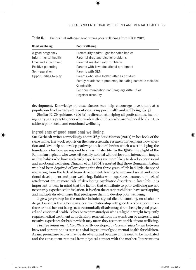| Good wellbeing        | Poor wellbeing                                            |
|-----------------------|-----------------------------------------------------------|
| A good pregnancy      | Prematurity and/or light-for-dates babies                 |
| Infant mental health  | Parental drug and alcohol problems                        |
| Love and attachment   | Parental mental health problems                           |
| Positive parenting    | Parents with low educational attainment                   |
| Self-regulation       | Parents with SEN                                          |
| Opportunities to play | Parents who were looked after as children                 |
|                       | Family relationship problems, including domestic violence |
|                       | Criminality                                               |
|                       | Poor communication and language difficulties              |
|                       | Physical disability                                       |

⊕

**Table 6.1** Factors that influence good versus poor wellbeing (from NICE 2012)

development. Knowledge of these factors can help encourage investment at a population level in early interventions to support health and wellbeing' (p. 7).

Similar NICE guidance (2016a) is directed at helping all professionals, including early years practitioners who work with children who are 'vulnerable' (p. 3), to address poor social and emotional wellbeing.

# **Ingredients of good emotional wellbeing**

Sue Gerhardt writes compellingly about *Why Love Matters* (2004) in her book of the same name. Her work reports on the neuroscientific research that explains how affection and love help to develop pathways in babies' brains which assist in laying the foundations for how we respond to stress in later life. In the 1980s, the plight of the Romanian orphans who were left socially isolated without love and interaction, taught us that babies who have such early experiences are more likely to develop poor social and emotional wellbeing. Chugani et al. (2001) reported that those Romanian babies who had been deprived of love during the first three years of life had little chance of recovering from the lack of brain development, leading to impaired social and emotional development and poor wellbeing. Babies who experience trauma and lack of attachment are at more risk of developing psychiatric disorders in later life. It is important to bear in mind that the factors that contribute to poor wellbeing are not necessarily experienced in isolation. It is often the case that children have overlapping and multiple disadvantages that predispose them to develop poor wellbeing.

*A good pregnancy* for the mother includes a good diet, no smoking, no alcohol or drugs, low stress levels, being in a positive relationship with good levels of support from those around her, not being socio-economically disadvantaged and being in good physical and emotional health. Babies born prematurely or who are light in weight frequently require medical treatment at birth. Early removal from the womb can be a stressful and negative experience for babies which may mean they are more at risk of poor wellbeing.

*Positive infant mental health* is partly developed by *love and attachment* between baby and parents and is seen as a vital ingredient of good mental health for children. Again, premature babies may be disadvantaged because of the need to be incubated and the consequent removal from physical contact with the mother. Interventions

⊕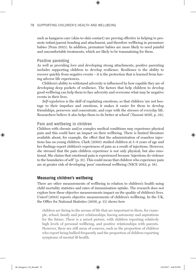such as kangaroo care (skin-to-skin contact) are proving effective in helping to promote infant/parent bonding and attachment, and therefore wellbeing in premature babies (Penn 2015). In addition, premature babies are more likely to need painful and uncomfortable treatments, which are likely to be traumatising for them.

⊕

#### **Positive parenting**

As well as providing love and developing strong attachments, positive parenting includes supporting children to develop resilience. Resilience is the ability to recover quickly from negative events – it is the protection that is learned from having adverse life experiences.

Children's ability to withstand adversity is influenced by how capable they are of developing deep pockets of resilience. The factors that help children to develop good wellbeing can help them to face adversity and overcome what may be negative events in their lives.

*Self-regulation* is the skill of regulating emotions, so that children 'are not hostage to their impulses and emotions, it makes it easier for them to develop friendships, persevere and concentrate, and cope with the stresses of everyday life. Researchers believe it also helps them to do better at school' (Tassoni 2016, p. 34).

# **Pain and wellbeing in children**

Children with chronic and/or complex medical conditions may experience physical pain and this could have an impact on their wellbeing. There is limited literature available about, for example, the effect that the administration of ceaseless injections has on young children. Clark (2003) studied children at 5–8 years of age and her findings report children's experiences of pain as a result of injections. However, she stressed that the pain children experience is not only physical, but also emotional. She claims that emotional pain is experienced because 'injections do violence to the boundaries of self' (p. 31). This could mean that children who experience pain are at greater risk of developing 'poor' emotional wellbeing (NICE 2012, p. 18).

# **Measuring children's wellbeing**

There are other measurements of wellbeing in relation to children's health using child mortality statistics and rates of immunisation uptake. The research does not explore how these objective measurements impact on the quality of children's lives. Unicef (2013) reports objective measurements of children's wellbeing. In the UK, the Office for National Statistics (2016, p. 15) shows how

children are faring in the arenas of life that are important to them, for example, school, family and peer relationships, having autonomy and aspirations for the future. There is a mixed picture, with children reporting relatively high levels of personal wellbeing, and positive relationships with parents. However, there are still areas of concern, such as the proportion of children who report being bullied frequently and the proportion of children reporting symptoms of mental ill-health.

⊕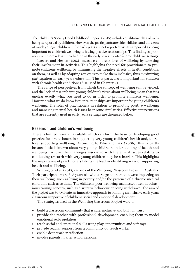The Children's Society Good Childhood Report (2015) includes qualitative data of wellbeing as reported by children. However, the participants are older children and the views of much younger children in the early years are not reported. What is reported as being important to children's wellbeing is having positive relationships. This finding is probably even more relevant to children in the early years in out-of-home childcare settings.

⊕

Laevers and Heylen (2003) measure children's level of wellbeing by assessing their involvement in activities. This highlights the need for practitioners to promote children's wellbeing by minimising the negative effects of health conditions on them, as well as by adapting activities to make them inclusive, thus maximizing participation in early years education. This is particularly important for children with chronic health conditions (discussed in Chapter 9).

The range of perspectives from which the concept of wellbeing can be viewed, and the lack of research into young children's views about wellbeing mean that it is unclear exactly what you need to do in order to promote children's wellbeing. However, what we do know is that relationships are important for young children's wellbeing. The roles of practitioners in relation to promoting positive wellbeing and managing mental health issues bear some similarities. Effective interventions that are currently used in early years settings are discussed below.

# **Research and children's wellbeing**

There is limited research available which can form the basis of developing good practice for practitioners in supporting very young children's health and, therefore, supporting wellbeing. According to Piko and Bak (2006), this is partly because little is known about very young children's understanding of health and wellbeing. In turn, the challenges associated with the ethical issues relating to conducting research with very young children may be a barrier. This highlights the importance of practitioners taking the lead in identifying ways of supporting health and wellbeing.

Whitington et al. (2015) carried out the Wellbeing Classroom Project in Australia. Their participants were 6–8 years old with a range of issues that were impacting on their wellbeing, such as living in poverty and/or the presence of a chronic medical condition, such as asthma. The children's poor wellbeing manifested itself in behaviours causing concern, such as disruptive behaviour or being withdrawn. The aim of the project was to 'evaluate an innovative approach to building an inclusive early years classroom supportive of children's social and emotional development'.

The strategies used in the Wellbeing Classroom Project were to:

- build a classroom community that is safe, inclusive and built on trust
- provide the teacher with professional development, enabling them to model emotional self-regulation
- teach social and emotional skills using play opportunities and soft toys
- provide regular support from a community outreach worker
- enable deep teacher reflection
- involve parents in after school sessions.

06\_Musgrave\_Ch\_06.indd 79 2/22/2017 4:46:59 PM

♠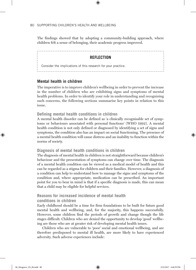The findings showed that by adopting a community-building approach, where children felt a sense of belonging, their academic progress improved.

⊕

# **REFLECTION**

Consider the implications of this research for your practice.

# **Mental health in children**

The imperative is to improve children's wellbeing in order to prevent the increase in the number of children who are exhibiting signs and symptoms of mental health problems. In order to identify your role in understanding and recognising such concerns, the following sections summarise key points in relation to this issue.

#### **Defining mental health conditions in children**

A mental health disorder can be defined as 'a clinically recognisable set of symptoms or behaviours associated with personal functions' (WHO 1992). A mental health condition is not only defined or diagnosed by identifying a set of signs and symptoms, the condition also has an impact on social functioning. The presence of a mental health condition will cause distress and an inability to function within the norms of society.

#### **Diagnosis of mental health conditions in children**

The diagnosis of mental health in children is not straightforward because children's behaviour and the presentation of symptoms can change over time. The diagnosis of a mental health condition can be viewed as a medical model of health and this can be regarded as a stigma for children and their families. However, a diagnosis of a condition can help to understand how to manage the signs and symptoms of the condition and, where appropriate, medication can be prescribed. An important point for you to bear in mind is that if a specific diagnosis is made, this can mean that a child may be eligible for helpful services.

# **Reasons for increased incidence of mental health conditions in children**

Early childhood should be a time for firm foundations to be built for future good mental health and wellbeing, and, for the majority, this happens successfully. However, some children find the periods of growth and change though the life stages difficult. Children who are denied the opportunity to develop 'good' wellbeing are those who are at greater risk of developing mental health issues.

Children who are vulnerable to 'poor' social and emotional wellbeing, and are therefore predisposed to mental ill health, are more likely to have experienced adversity. Such adverse experiences include:

♠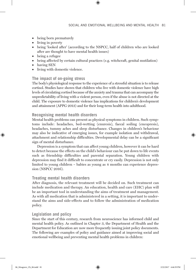- being born prematurely
- living in poverty
- being 'looked after' (according to the NSPCC, half of children who are looked after are thought to have mental health issues)

⊕

- being a refugee
- being affected by certain cultural practices (e.g. witchcraft, genital mutilation)
- having SEN
- living with domestic violence.

#### **The impact of on-going stress**

The body's physiological response to the experience of a stressful situation is to release cortisol. Studies have shown that children who live with domestic violence have high levels of circulating cortisol because of the anxiety and trauma that can accompany the unpredictability of living with a violent person, even if the abuse is not directed at the child. The exposure to domestic violence has implications for children's development and attainment (APPG 2013) and for their long-term health into adulthood.

#### **Recognising mental health disorders**

Mental health problems can present as physical symptoms in children. Such symptoms include: headaches, bed-wetting (enuresis), faecal soiling (encopresis), headaches, tummy aches and sleep disturbance. Changes in children's behaviour may also be indicative of emerging issues, for example isolation and withdrawal, attachment and relationship difficulties. Developmental delay can be a significant sign of mental disturbance.

Depression is a symptom that can affect young children, however it can be hard to detect because the effects on the child's behaviour can be put down to life events such as friendship difficulties and parental separation. Young children with depression may find it difficult to concentrate or cry easily. Depression is not only limited to young children – babies as young as 4 months can experience depression (NSPCC 2016).

#### **Treating mental health disorders**

After diagnosis, the relevant treatment will be decided on. Such treatment can include medication and therapy. An education, health and care (EHC) plan will be an important tool in understanding the aims of treatment and management. As with all medication that is administered in a setting, it is important to understand the aims and side-effects and to follow the administration of medication policy.

#### **Legislation and policy**

Since the start of this century, research from neuroscience has informed child and mental health policy. As outlined in Chapter 3, the Department of Health and the Department for Education are now more frequently issuing joint policy documents. The following are examples of policy and guidance aimed at improving social and emotional wellbeing and preventing mental health problems in children:

♠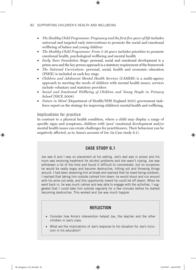• *The Healthy Child Programme: Pregnancy and the first five years of life* includes universal and targeted early interventions to promote the social and emotional wellbeing of babies and young children

⊕

- *The Healthy Child Programme: From 5–19 years* includes priorities to promote emotional health, psychological wellbeing and mental health
- *Early Years Foundation Stage*: personal, social and emotional development is a prime area and the key person approach is a statutory requirement of the framework
- *The National Curriculum*: personal, social, health and economic education (PSHE) is included at each key stage
- *Children and Adolescent Mental Health Services* (CAMHS) is a multi-agency approach to meeting the needs of children with mental health issues; services include voluntary and statutory providers
- *Social and Emotional Wellbeing of Children and Young People in Primary School* (NICE 2008)
- *Future in Mind* (Department of Health/NHS England 2015) government taskforce report on the strategy for improving children's mental health and wellbeing.

#### **Implications for practice**

In contrast to a physical health condition, where a child may display a range of specific signs and symptoms, children with 'poor' emotional development and/or mental health issues can create challenges for practitioners. Their behaviour can be negatively affected, as in Anna's account of Joe (in Case study 6.1).

# **CASE STUDY 6.1**

Joe was 6 and I was on placement at his setting. Joe's dad was in prison and his mum was receiving treatment for alcohol problems and she wasn't coping. Joe was withdrawn a lot of the time and found it difficult to concentrate, but on occasions he would be really angry and become destructive, hitting out and throwing things around. I had been observing him at break and realised that he loved being outdoors. I realised that taking him outside calmed him down; he would shout and run around with his arms out wide, and this opportunity meant he could let off steam. When he went back in, he was much calmer and was able to engage with the activities. I suggested that I could take him outside regularly for a few minutes before he started becoming destructive. This worked and Joe was much happier.

# **REFLECTION**

- Consider how Anna's intervention helped Joe, the teacher and the other children in Joe's class.
- What are the implications of Joe's response to his situation for Joe's inclusion in his education?

♠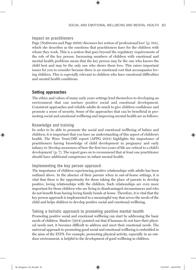# **Impact on practitioners**

Page (Nutbrown and Page 2008) discusses her notion of 'professional love' (p. 184), which she describes as the emotions that practitioners have for the children with whom they work. This is a notion that goes beyond the regulatory requirements of the role of the key person. Increasing numbers of children with emotional and mental health problems mean that the key person may be the one who knows the child best and may be the only one who shows them love. This raises important issues for you to consider because there is an emotional cost that accompanies loving children. This is especially relevant to children who have emotional difficulties and mental health conditions.

⊕

# **Setting approaches**

The ethics and values of many early years settings lend themselves to developing an environment that can nurture positive social and emotional development. Consistent approaches and reliable adults do much to give children confidence and promote a sense of security. Some of the approaches that can be beneficial in promoting social and emotional wellbeing and improving mental health are as follows:

#### **Knowledge and training**

♠

In order to be able to promote the social and emotional wellbeing of babies and children, it is important that you have an understanding of this aspect of children's health. The Wave Trust/DfE report (APPG 2013) highlights the importance of practitioners having knowledge of child development in pregnancy and early infancy to 'develop awareness of how the first two years of life are critical to a child's development' (p. 7). The report goes on to recommend that at least one practitioner should have additional competence in infant mental health.

#### **Implementing the key person approach**

The importance of children experiencing positive relationships with adults has been outlined above. In the absence of their parents when in out-of-home settings, it is vital that there is the opportunity for those taking the place of parents to develop positive, loving relationships with the children. Such relationships are even more important for those children who are living in disadvantaged circumstances and who do not benefit from having loving family bonds at home. Therefore, it is vital that the key person approach is implemented in a meaningful way that serves the needs of the child and helps children to develop positive social and emotional wellbeing.

#### **Taking a holistic approach to promoting positive mental health**

Promoting positive social and emotional wellbeing can start by addressing the basic needs of children. Maslow (1954) pointed out that if humans do not have their physical needs met, it becomes difficult to address and meet their emotional needs. The universal approach to promoting good social and emotional wellbeing is embedded in the aims of the EYFS. For example, promoting physical activity, especially in an outdoor environment, is helpful to the development of good wellbeing in children.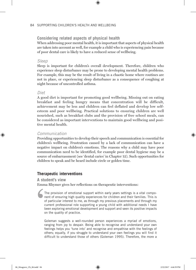## **Considering related aspects of physical health**

When addressing poor mental health, it is important that aspects of physical health are taken into account as well, for example a child who is experiencing pain because of poor dental care is likely to have a reduced sense of wellbeing.

 $\textcircled{\scriptsize{*}}$ 

#### *Sleep*

Sleep is important for children's overall development. Therefore, children who experience sleep disturbance may be prone to developing mental health problems. For example, this may be the result of living in a chaotic home where routines are not in place, or experiencing sleep disturbance as a consequence of coughing at night because of uncontrolled asthma.

#### *Diet*

♠

A good diet is important for promoting good wellbeing. Missing out on eating breakfast and feeling hungry means that concentration will be difficult, achievement may be less and children can feel deflated and develop low selfesteem and poor wellbeing. Practical solutions to ensuring children are well nourished, such as breakfast clubs and the provision of free school meals, can be considered as important interventions to maintain good wellbeing and positive mental health.

# *Communication*

Providing opportunities to develop their speech and communication is essential for children's wellbeing. Frustration caused by a lack of communication can have a negative impact on children's emotions. The reasons why a child may have poor communication need to be identified, for example poor dental hygiene may be a source of embarrassment (see 'dental caries' in Chapter 12). Such opportunities for children to speak and be heard include circle or golden time.

# **Therapeutic interventions**

#### **A student's view**

Emma Rhymer gives her reflections on therapeutic interventions:

The provision of emotional support within early years settings is a vital component of ensuring high quality experiences for children and their families. This is of particular interest to me, as through my previous placements and through my current professional role supporting a young child with additional needs I have been exploring emotional development and support and seen its positive impacts on the quality of practice.  $\leq$ 

Goleman suggests a well-rounded person experiences a myriad of emotions, ranging from joy to despair. Being able to recognise and understand your own feelings helps you 'tune into' and recognise and empathise with the feelings of others; equally, if you struggle to understand your own feelings you will find it difficult to understand those of others (Goleman 1995). Therefore, the more a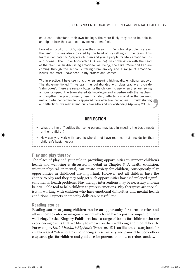child can understand their own feelings, the more likely they are to be able to anticipate how their actions may make others feel.

⊕

Fink et al. (2015, p. 502) state in their research ... 'emotional problems are on the rise'. This was also indicated by the head of my setting's Thrive team. This team is dedicated to 'prepare children and young people for life's emotional ups and downs' (The Thrive Approach 2016 online). In conversation with the head of the team, when discussing emotional wellbeing, she said: 'More children are coming through the school suffering from anxiety and a range of emotional issues, the most I have seen in my professional career'.

Within practice, I have seen practitioners ensuring high-quality emotional support. The above-mentioned Thrive team has collaborated with class teachers to create 'calm boxes'. These are sensory boxes for the children to use when they are feeling anxious or upset. The team shared its knowledge and expertise with the teachers, and together the practitioners (myself included) reflected on what in the box went well and whether certain items appeared more effective than others. Through sharing our reflections, we may extend our knowledge and understanding (Appleby 2010).

# **REFLECTION**

- What are the difficulties that some parents may face in meeting the basic needs of their children? **)**<br>
<br>
<br>
<br>
<br>
<br>
<br>
<br>
<br>
<br><br><br><br><br><br><br><br>
- How can you work with parents who do not have routines that provide for their children's basic needs?

# **Play and play therapy**

The place of play and your role in providing opportunities to support children's health and wellbeing is discussed in detail in Chapter 5. A health condition, whether physical or mental, can create anxiety for children, consequently play opportunities in childhood are important. However, not all children have the chance to play and they may only get such opportunities having developed significant mental health problems. Play therapy interventions may be necessary and can be a valuable tool to help children to process emotions. Play therapists are specialists in working with children who have emotional difficulties and mental health conditions. Puppets or empathy dolls can be useful too.

#### **Reading stories**

Reading stories to young children can be an opportunity for them to relax and allow them to enter an imaginary world which can have a positive impact on their wellbeing. Jessica Kingsley Publishers have a range of books for children who are experiencing events that are likely to impact on their wellbeing and mental health. For example, *Little Meerkat's Big Panic* (Evans 2016) is an illustrated storybook for children aged 2–6 who are experiencing stress, anxiety and panic. The book offers easy strategies for children and guidance for parents to follow to reduce anxiety.

♠